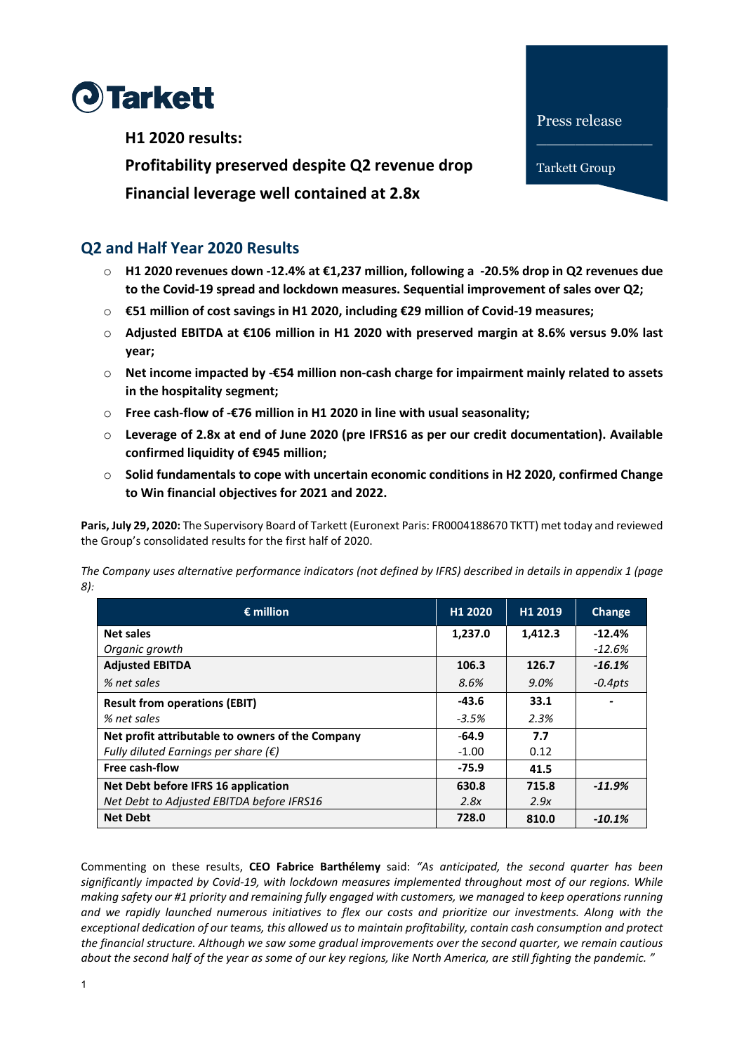

**H1 2020 results:**

**Profitability preserved despite Q2 revenue drop** 

**Financial leverage well contained at 2.8x**

# **Q2 and Half Year 2020 Results**

- o **H1 2020 revenues down -12.4% at €1,237 million, following a -20.5% drop in Q2 revenues due to the Covid-19 spread and lockdown measures. Sequential improvement of sales over Q2;**
- o **€51 million of cost savings in H1 2020, including €29 million of Covid-19 measures;**
- o **Adjusted EBITDA at €106 million in H1 2020 with preserved margin at 8.6% versus 9.0% last year;**
- o **Net income impacted by -€54 million non-cash charge for impairment mainly related to assets in the hospitality segment;**
- o **Free cash-flow of -€76 million in H1 2020 in line with usual seasonality;**
- o **Leverage of 2.8x at end of June 2020 (pre IFRS16 as per our credit documentation). Available confirmed liquidity of €945 million;**
- o **Solid fundamentals to cope with uncertain economic conditions in H2 2020, confirmed Change to Win financial objectives for 2021 and 2022.**

**Paris, July 29, 2020:** The Supervisory Board of Tarkett (Euronext Paris: FR0004188670 TKTT) met today and reviewed the Group's consolidated results for the first half of 2020.

*The Company uses alternative performance indicators (not defined by IFRS) described in details in appendix 1 (page 8):*

| $\epsilon$ million                               | H <sub>1</sub> 2020 | H1 2019 | Change     |
|--------------------------------------------------|---------------------|---------|------------|
| <b>Net sales</b>                                 | 1,237.0             | 1,412.3 | $-12.4%$   |
| Organic growth                                   |                     |         | $-12.6%$   |
| <b>Adjusted EBITDA</b>                           | 106.3               | 126.7   | $-16.1\%$  |
| % net sales                                      | 8.6%                | $9.0\%$ | $-0.4$ pts |
| <b>Result from operations (EBIT)</b>             | -43.6               | 33.1    |            |
| % net sales                                      | $-3.5%$             | 2.3%    |            |
| Net profit attributable to owners of the Company | $-64.9$             | 7.7     |            |
| Fully diluted Earnings per share ( $\epsilon$ )  | $-1.00$             | 0.12    |            |
| Free cash-flow                                   | $-75.9$             | 41.5    |            |
| Net Debt before IFRS 16 application              | 630.8               | 715.8   | $-11.9\%$  |
| Net Debt to Adjusted EBITDA before IFRS16        | 2.8x                | 2.9x    |            |
| <b>Net Debt</b>                                  | 728.0               | 810.0   | $-10.1\%$  |

Commenting on these results, **CEO Fabrice Barthélemy** said: *"As anticipated, the second quarter has been significantly impacted by Covid-19, with lockdown measures implemented throughout most of our regions. While making safety our #1 priority and remaining fully engaged with customers, we managed to keep operations running and we rapidly launched numerous initiatives to flex our costs and prioritize our investments. Along with the exceptional dedication of our teams, this allowed us to maintain profitability, contain cash consumption and protect the financial structure. Although we saw some gradual improvements over the second quarter, we remain cautious about the second half of the year as some of our key regions, like North America, are still fighting the pandemic. "*

Tarkett Group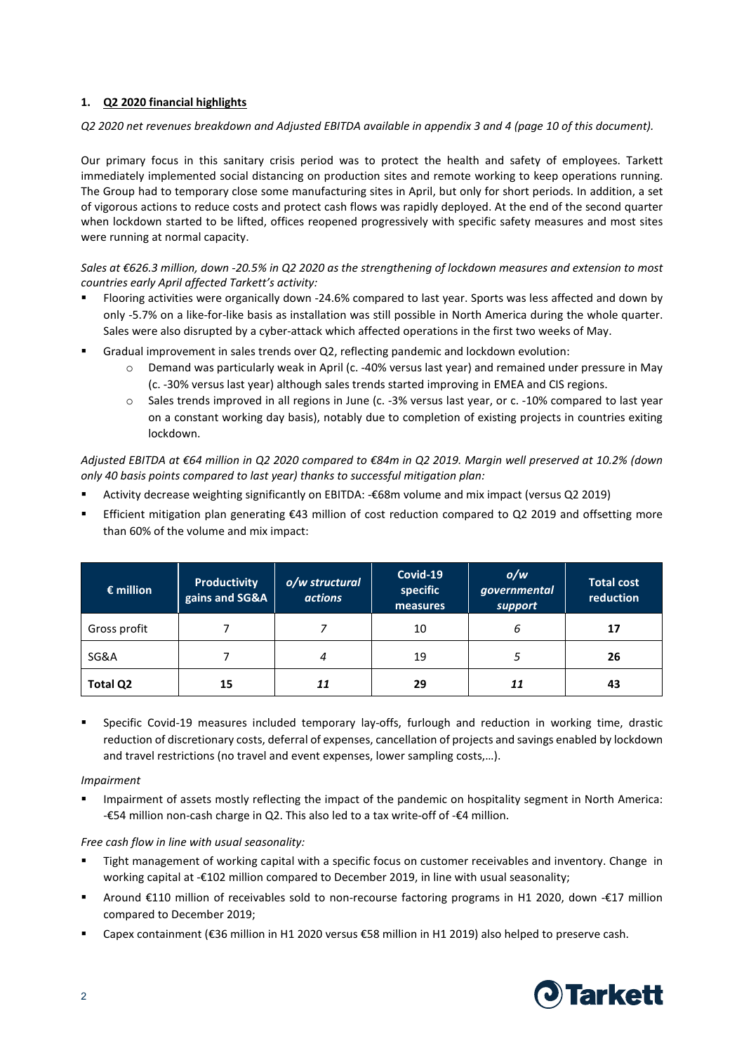# **1. Q2 2020 financial highlights**

#### *Q2 2020 net revenues breakdown and Adjusted EBITDA available in appendix 3 and 4 (page 10 of this document).*

Our primary focus in this sanitary crisis period was to protect the health and safety of employees. Tarkett immediately implemented social distancing on production sites and remote working to keep operations running. The Group had to temporary close some manufacturing sites in April, but only for short periods. In addition, a set of vigorous actions to reduce costs and protect cash flows was rapidly deployed. At the end of the second quarter when lockdown started to be lifted, offices reopened progressively with specific safety measures and most sites were running at normal capacity.

*Sales at €626.3 million, down -20.5% in Q2 2020 as the strengthening of lockdown measures and extension to most countries early April affected Tarkett's activity:*

- Flooring activities were organically down -24.6% compared to last year. Sports was less affected and down by only -5.7% on a like-for-like basis as installation was still possible in North America during the whole quarter. Sales were also disrupted by a cyber-attack which affected operations in the first two weeks of May.
- Gradual improvement in sales trends over Q2, reflecting pandemic and lockdown evolution:
	- o Demand was particularly weak in April (c. -40% versus last year) and remained under pressure in May (c. -30% versus last year) although sales trends started improving in EMEA and CIS regions.
	- o Sales trends improved in all regions in June (c. -3% versus last year, or c. -10% compared to last year on a constant working day basis), notably due to completion of existing projects in countries exiting lockdown.

*Adjusted EBITDA at €64 million in Q2 2020 compared to €84m in Q2 2019. Margin well preserved at 10.2% (down only 40 basis points compared to last year) thanks to successful mitigation plan:*

- Activity decrease weighting significantly on EBITDA: -€68m volume and mix impact (versus Q2 2019)
- Efficient mitigation plan generating €43 million of cost reduction compared to Q2 2019 and offsetting more than 60% of the volume and mix impact:

| $\epsilon$ million | <b>Productivity</b><br>gains and SG&A | o/w structural<br><b>actions</b> | Covid-19<br>specific<br>measures | o/w<br>governmental<br>support | <b>Total cost</b><br>reduction |
|--------------------|---------------------------------------|----------------------------------|----------------------------------|--------------------------------|--------------------------------|
| Gross profit       |                                       |                                  | 10                               | 6                              | 17                             |
| SG&A               |                                       | 4                                | 19                               |                                | 26                             |
| Total Q2           | 15                                    | 11                               | 29                               | 11                             | 43                             |

 Specific Covid-19 measures included temporary lay-offs, furlough and reduction in working time, drastic reduction of discretionary costs, deferral of expenses, cancellation of projects and savings enabled by lockdown and travel restrictions (no travel and event expenses, lower sampling costs,…).

#### *Impairment*

 Impairment of assets mostly reflecting the impact of the pandemic on hospitality segment in North America: -€54 million non-cash charge in Q2. This also led to a tax write-off of -€4 million.

#### *Free cash flow in line with usual seasonality:*

- Tight management of working capital with a specific focus on customer receivables and inventory. Change in working capital at -€102 million compared to December 2019, in line with usual seasonality;
- Around €110 million of receivables sold to non-recourse factoring programs in H1 2020, down -€17 million compared to December 2019;
- Capex containment (€36 million in H1 2020 versus €58 million in H1 2019) also helped to preserve cash.

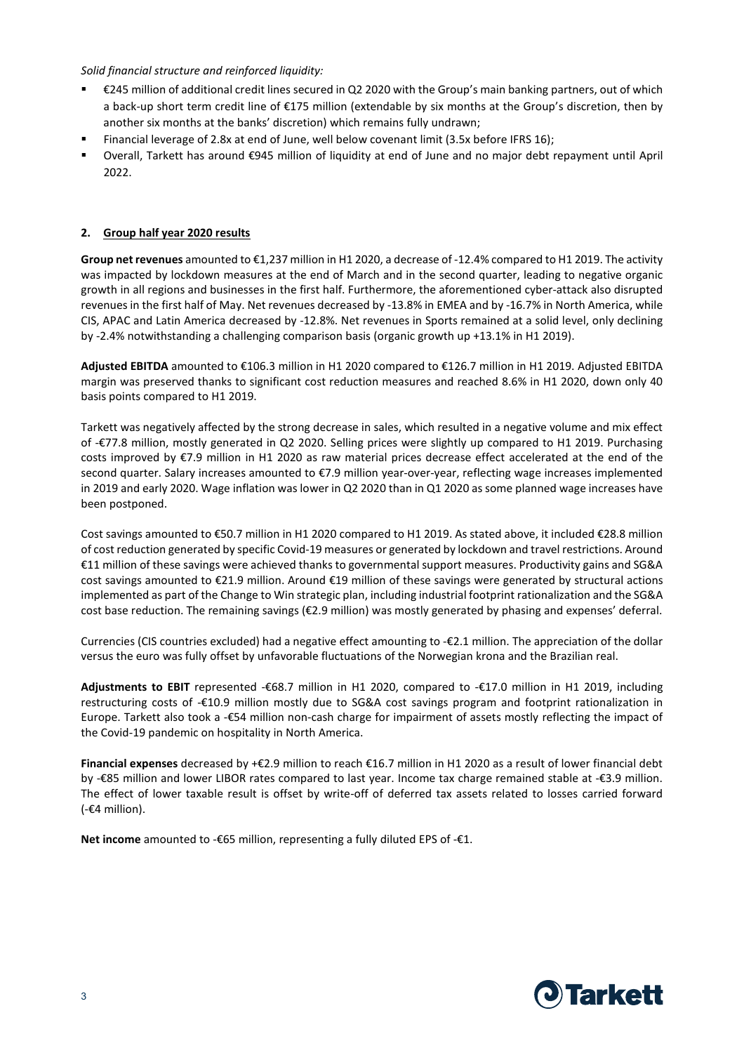### *Solid financial structure and reinforced liquidity:*

- €245 million of additional credit lines secured in Q2 2020 with the Group's main banking partners, out of which a back-up short term credit line of €175 million (extendable by six months at the Group's discretion, then by another six months at the banks' discretion) which remains fully undrawn;
- Financial leverage of 2.8x at end of June, well below covenant limit (3.5x before IFRS 16);
- Overall, Tarkett has around €945 million of liquidity at end of June and no major debt repayment until April 2022.

#### **2. Group half year 2020 results**

**Group net revenues** amounted to €1,237 million in H1 2020, a decrease of -12.4% compared to H1 2019. The activity was impacted by lockdown measures at the end of March and in the second quarter, leading to negative organic growth in all regions and businesses in the first half. Furthermore, the aforementioned cyber-attack also disrupted revenues in the first half of May. Net revenues decreased by -13.8% in EMEA and by -16.7% in North America, while CIS, APAC and Latin America decreased by -12.8%. Net revenues in Sports remained at a solid level, only declining by -2.4% notwithstanding a challenging comparison basis (organic growth up +13.1% in H1 2019).

**Adjusted EBITDA** amounted to €106.3 million in H1 2020 compared to €126.7 million in H1 2019. Adjusted EBITDA margin was preserved thanks to significant cost reduction measures and reached 8.6% in H1 2020, down only 40 basis points compared to H1 2019.

Tarkett was negatively affected by the strong decrease in sales, which resulted in a negative volume and mix effect of -€77.8 million, mostly generated in Q2 2020. Selling prices were slightly up compared to H1 2019. Purchasing costs improved by €7.9 million in H1 2020 as raw material prices decrease effect accelerated at the end of the second quarter. Salary increases amounted to €7.9 million year-over-year, reflecting wage increases implemented in 2019 and early 2020. Wage inflation was lower in Q2 2020 than in Q1 2020 as some planned wage increases have been postponed.

Cost savings amounted to €50.7 million in H1 2020 compared to H1 2019. As stated above, it included €28.8 million of cost reduction generated by specific Covid-19 measures or generated by lockdown and travel restrictions. Around €11 million of these savings were achieved thanks to governmental support measures. Productivity gains and SG&A cost savings amounted to €21.9 million. Around €19 million of these savings were generated by structural actions implemented as part of the Change to Win strategic plan, including industrial footprint rationalization and the SG&A cost base reduction. The remaining savings (€2.9 million) was mostly generated by phasing and expenses' deferral.

Currencies (CIS countries excluded) had a negative effect amounting to -€2.1 million. The appreciation of the dollar versus the euro was fully offset by unfavorable fluctuations of the Norwegian krona and the Brazilian real.

**Adjustments to EBIT** represented -€68.7 million in H1 2020, compared to -€17.0 million in H1 2019, including restructuring costs of -€10.9 million mostly due to SG&A cost savings program and footprint rationalization in Europe. Tarkett also took a -€54 million non-cash charge for impairment of assets mostly reflecting the impact of the Covid-19 pandemic on hospitality in North America.

**Financial expenses** decreased by +€2.9 million to reach €16.7 million in H1 2020 as a result of lower financial debt by -€85 million and lower LIBOR rates compared to last year. Income tax charge remained stable at -€3.9 million. The effect of lower taxable result is offset by write-off of deferred tax assets related to losses carried forward (-€4 million).

**Net income** amounted to -€65 million, representing a fully diluted EPS of -€1.

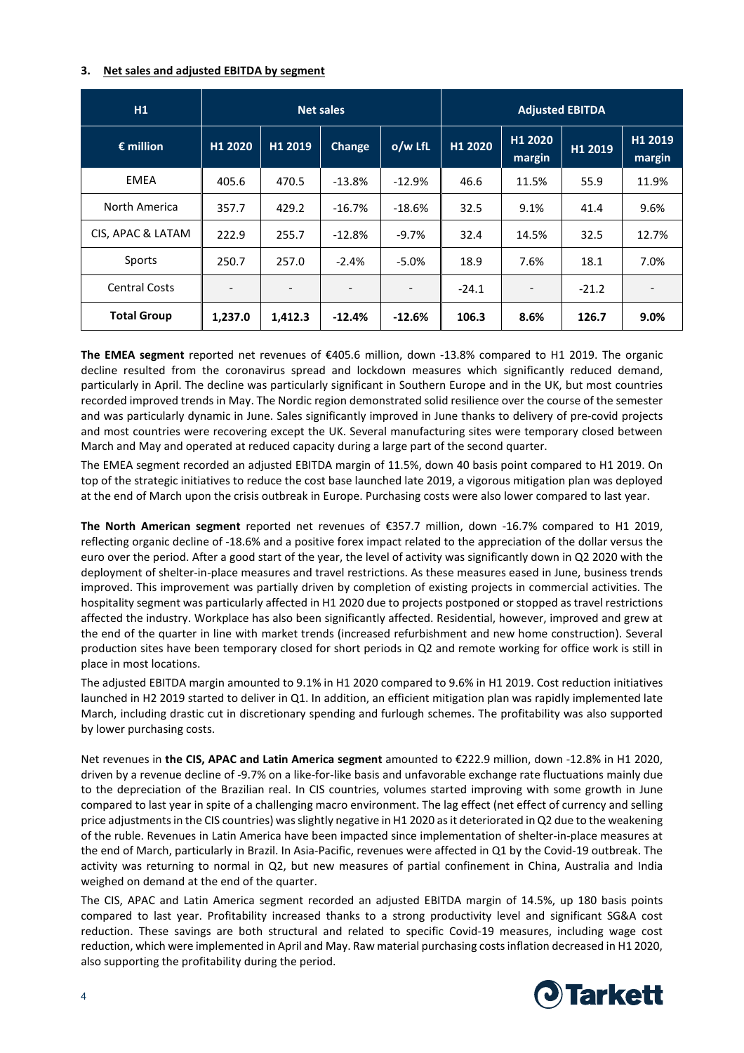#### **3. Net sales and adjusted EBITDA by segment**

| H1                   | <b>Net sales</b>         |                          |                          |                              |         | <b>Adjusted EBITDA</b>   |         |                   |
|----------------------|--------------------------|--------------------------|--------------------------|------------------------------|---------|--------------------------|---------|-------------------|
| $\epsilon$ million   | H1 2020                  | H1 2019                  | <b>Change</b>            | $o/w$ LfL                    | H1 2020 | H1 2020<br>margin        | H1 2019 | H1 2019<br>margin |
| EMEA                 | 405.6                    | 470.5                    | $-13.8%$                 | $-12.9%$                     | 46.6    | 11.5%                    | 55.9    | 11.9%             |
| North America        | 357.7                    | 429.2                    | $-16.7%$                 | $-18.6%$                     | 32.5    | 9.1%                     | 41.4    | 9.6%              |
| CIS, APAC & LATAM    | 222.9                    | 255.7                    | $-12.8%$                 | $-9.7%$                      | 32.4    | 14.5%                    | 32.5    | 12.7%             |
| Sports               | 250.7                    | 257.0                    | $-2.4%$                  | $-5.0%$                      | 18.9    | 7.6%                     | 18.1    | 7.0%              |
| <b>Central Costs</b> | $\overline{\phantom{a}}$ | $\overline{\phantom{a}}$ | $\overline{\phantom{0}}$ | $\qquad \qquad \blacksquare$ | $-24.1$ | $\overline{\phantom{a}}$ | $-21.2$ |                   |
| <b>Total Group</b>   | 1,237.0                  | 1,412.3                  | $-12.4%$                 | $-12.6%$                     | 106.3   | 8.6%                     | 126.7   | 9.0%              |

**The EMEA segment** reported net revenues of €405.6 million, down -13.8% compared to H1 2019. The organic decline resulted from the coronavirus spread and lockdown measures which significantly reduced demand, particularly in April. The decline was particularly significant in Southern Europe and in the UK, but most countries recorded improved trends in May. The Nordic region demonstrated solid resilience over the course of the semester and was particularly dynamic in June. Sales significantly improved in June thanks to delivery of pre-covid projects and most countries were recovering except the UK. Several manufacturing sites were temporary closed between March and May and operated at reduced capacity during a large part of the second quarter.

The EMEA segment recorded an adjusted EBITDA margin of 11.5%, down 40 basis point compared to H1 2019. On top of the strategic initiatives to reduce the cost base launched late 2019, a vigorous mitigation plan was deployed at the end of March upon the crisis outbreak in Europe. Purchasing costs were also lower compared to last year.

**The North American segment** reported net revenues of €357.7 million, down -16.7% compared to H1 2019, reflecting organic decline of -18.6% and a positive forex impact related to the appreciation of the dollar versus the euro over the period. After a good start of the year, the level of activity was significantly down in Q2 2020 with the deployment of shelter-in-place measures and travel restrictions. As these measures eased in June, business trends improved. This improvement was partially driven by completion of existing projects in commercial activities. The hospitality segment was particularly affected in H1 2020 due to projects postponed or stopped as travel restrictions affected the industry. Workplace has also been significantly affected. Residential, however, improved and grew at the end of the quarter in line with market trends (increased refurbishment and new home construction). Several production sites have been temporary closed for short periods in Q2 and remote working for office work is still in place in most locations.

The adjusted EBITDA margin amounted to 9.1% in H1 2020 compared to 9.6% in H1 2019. Cost reduction initiatives launched in H2 2019 started to deliver in Q1. In addition, an efficient mitigation plan was rapidly implemented late March, including drastic cut in discretionary spending and furlough schemes. The profitability was also supported by lower purchasing costs.

Net revenues in **the CIS, APAC and Latin America segment** amounted to €222.9 million, down -12.8% in H1 2020, driven by a revenue decline of -9.7% on a like-for-like basis and unfavorable exchange rate fluctuations mainly due to the depreciation of the Brazilian real. In CIS countries, volumes started improving with some growth in June compared to last year in spite of a challenging macro environment. The lag effect (net effect of currency and selling price adjustmentsin the CIS countries) was slightly negative in H1 2020 as it deteriorated in Q2 due to the weakening of the ruble. Revenues in Latin America have been impacted since implementation of shelter-in-place measures at the end of March, particularly in Brazil. In Asia-Pacific, revenues were affected in Q1 by the Covid-19 outbreak. The activity was returning to normal in Q2, but new measures of partial confinement in China, Australia and India weighed on demand at the end of the quarter.

The CIS, APAC and Latin America segment recorded an adjusted EBITDA margin of 14.5%, up 180 basis points compared to last year. Profitability increased thanks to a strong productivity level and significant SG&A cost reduction. These savings are both structural and related to specific Covid-19 measures, including wage cost reduction, which were implemented in April and May. Raw material purchasing costs inflation decreased in H1 2020, also supporting the profitability during the period.

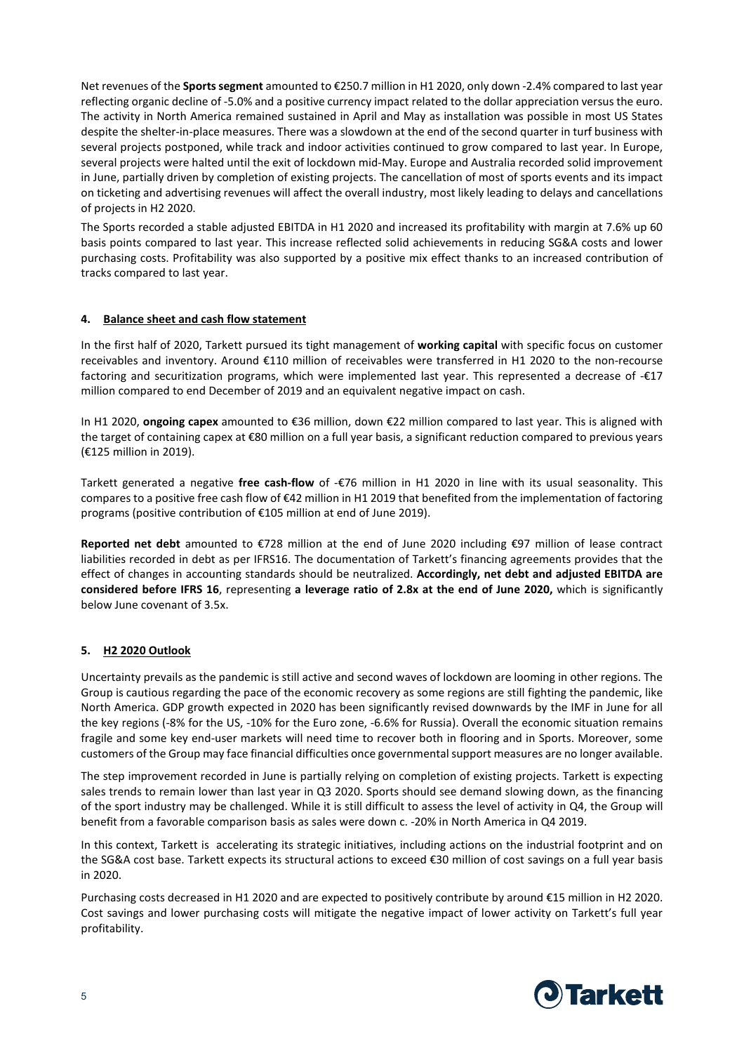Net revenues of the **Sports segment** amounted to €250.7 million in H1 2020, only down -2.4% compared to last year reflecting organic decline of -5.0% and a positive currency impact related to the dollar appreciation versus the euro. The activity in North America remained sustained in April and May as installation was possible in most US States despite the shelter-in-place measures. There was a slowdown at the end of the second quarter in turf business with several projects postponed, while track and indoor activities continued to grow compared to last year. In Europe, several projects were halted until the exit of lockdown mid-May. Europe and Australia recorded solid improvement in June, partially driven by completion of existing projects. The cancellation of most of sports events and its impact on ticketing and advertising revenues will affect the overall industry, most likely leading to delays and cancellations of projects in H2 2020.

The Sports recorded a stable adjusted EBITDA in H1 2020 and increased its profitability with margin at 7.6% up 60 basis points compared to last year. This increase reflected solid achievements in reducing SG&A costs and lower purchasing costs. Profitability was also supported by a positive mix effect thanks to an increased contribution of tracks compared to last year.

### **4. Balance sheet and cash flow statement**

In the first half of 2020, Tarkett pursued its tight management of **working capital** with specific focus on customer receivables and inventory. Around €110 million of receivables were transferred in H1 2020 to the non-recourse factoring and securitization programs, which were implemented last year. This represented a decrease of -€17 million compared to end December of 2019 and an equivalent negative impact on cash.

In H1 2020, **ongoing capex** amounted to €36 million, down €22 million compared to last year. This is aligned with the target of containing capex at €80 million on a full year basis, a significant reduction compared to previous years (€125 million in 2019).

Tarkett generated a negative **free cash-flow** of -€76 million in H1 2020 in line with its usual seasonality. This compares to a positive free cash flow of €42 million in H1 2019 that benefited from the implementation of factoring programs (positive contribution of €105 million at end of June 2019).

**Reported net debt** amounted to €728 million at the end of June 2020 including €97 million of lease contract liabilities recorded in debt as per IFRS16. The documentation of Tarkett's financing agreements provides that the effect of changes in accounting standards should be neutralized. **Accordingly, net debt and adjusted EBITDA are considered before IFRS 16**, representing **a leverage ratio of 2.8x at the end of June 2020,** which is significantly below June covenant of 3.5x.

# **5. H2 2020 Outlook**

Uncertainty prevails as the pandemic is still active and second waves of lockdown are looming in other regions. The Group is cautious regarding the pace of the economic recovery as some regions are still fighting the pandemic, like North America. GDP growth expected in 2020 has been significantly revised downwards by the IMF in June for all the key regions (-8% for the US, -10% for the Euro zone, -6.6% for Russia). Overall the economic situation remains fragile and some key end-user markets will need time to recover both in flooring and in Sports. Moreover, some customers of the Group may face financial difficulties once governmentalsupport measures are no longer available.

The step improvement recorded in June is partially relying on completion of existing projects. Tarkett is expecting sales trends to remain lower than last year in Q3 2020. Sports should see demand slowing down, as the financing of the sport industry may be challenged. While it is still difficult to assess the level of activity in Q4, the Group will benefit from a favorable comparison basis as sales were down c. -20% in North America in Q4 2019.

In this context, Tarkett is accelerating its strategic initiatives, including actions on the industrial footprint and on the SG&A cost base. Tarkett expects its structural actions to exceed €30 million of cost savings on a full year basis in 2020.

Purchasing costs decreased in H1 2020 and are expected to positively contribute by around €15 million in H2 2020. Cost savings and lower purchasing costs will mitigate the negative impact of lower activity on Tarkett's full year profitability.

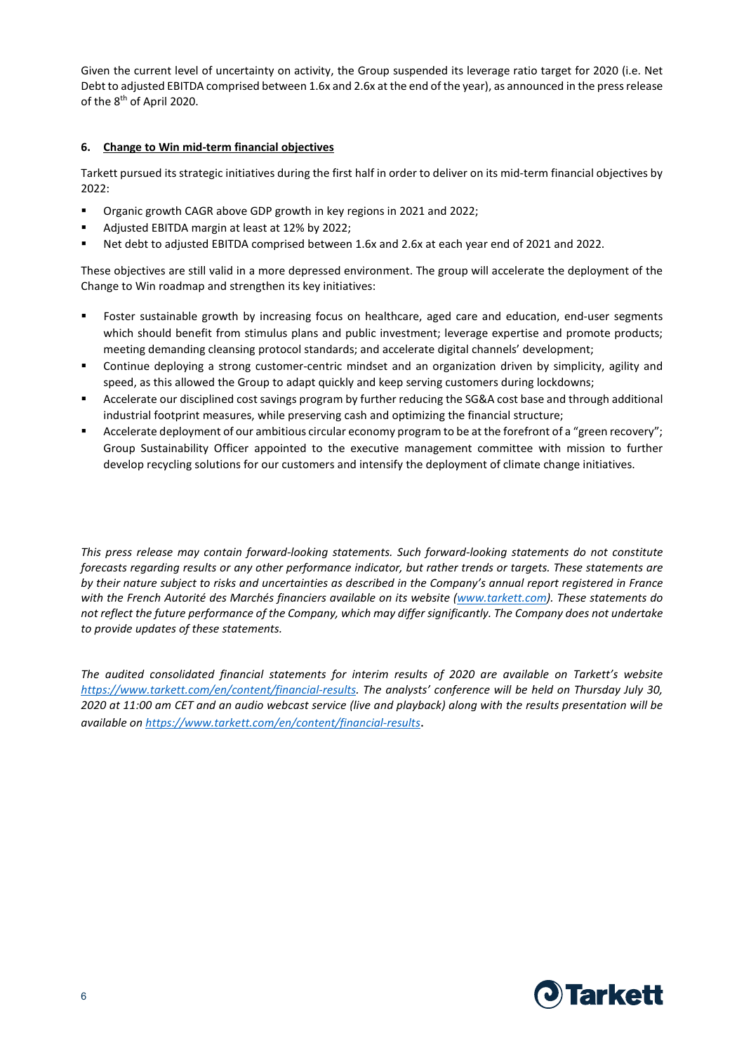Given the current level of uncertainty on activity, the Group suspended its leverage ratio target for 2020 (i.e. Net Debt to adjusted EBITDA comprised between 1.6x and 2.6x at the end of the year), as announced in the press release of the 8<sup>th</sup> of April 2020.

#### **6. Change to Win mid-term financial objectives**

Tarkett pursued its strategic initiatives during the first half in order to deliver on its mid-term financial objectives by 2022:

- Organic growth CAGR above GDP growth in key regions in 2021 and 2022;
- Adjusted EBITDA margin at least at 12% by 2022;
- Net debt to adjusted EBITDA comprised between 1.6x and 2.6x at each year end of 2021 and 2022.

These objectives are still valid in a more depressed environment. The group will accelerate the deployment of the Change to Win roadmap and strengthen its key initiatives:

- Foster sustainable growth by increasing focus on healthcare, aged care and education, end-user segments which should benefit from stimulus plans and public investment; leverage expertise and promote products; meeting demanding cleansing protocol standards; and accelerate digital channels' development;
- Continue deploying a strong customer-centric mindset and an organization driven by simplicity, agility and speed, as this allowed the Group to adapt quickly and keep serving customers during lockdowns;
- Accelerate our disciplined cost savings program by further reducing the SG&A cost base and through additional industrial footprint measures, while preserving cash and optimizing the financial structure;
- Accelerate deployment of our ambitious circular economy program to be at the forefront of a "green recovery"; Group Sustainability Officer appointed to the executive management committee with mission to further develop recycling solutions for our customers and intensify the deployment of climate change initiatives.

*This press release may contain forward-looking statements. Such forward-looking statements do not constitute forecasts regarding results or any other performance indicator, but rather trends or targets. These statements are by their nature subject to risks and uncertainties as described in the Company's annual report registered in France with the French Autorité des Marchés financiers available on its website (www.tarkett.com). These statements do not reflect the future performance of the Company, which may differ significantly. The Company does not undertake to provide updates of these statements.*

*The audited consolidated financial statements for interim results of 2020 are available on Tarkett's website https://www.tarkett.com/en/content/financial-results. The analysts' conference will be held on Thursday July 30, 2020 at 11:00 am CET and an audio webcast service (live and playback) along with the results presentation will be available on https://www.tarkett.com/en/content/financial-results*.

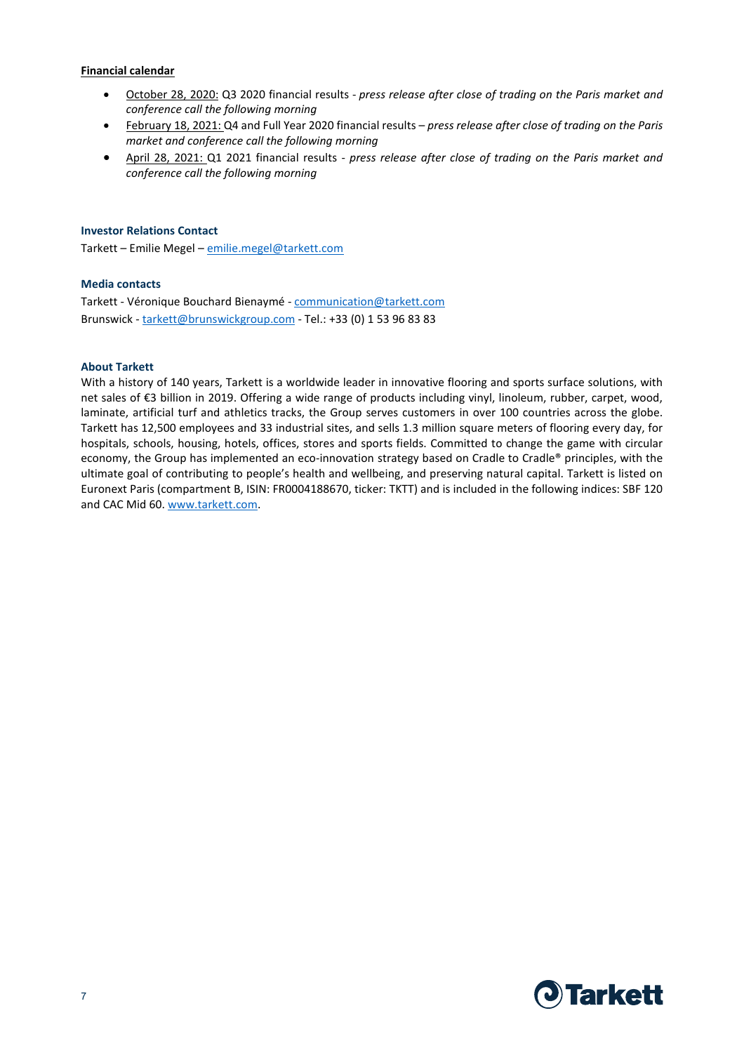#### **Financial calendar**

- October 28, 2020: Q3 2020 financial results *press release after close of trading on the Paris market and conference call the following morning*
- February 18, 2021: Q4 and Full Year 2020 financial results *press release after close of trading on the Paris market and conference call the following morning*
- April 28, 2021: Q1 2021 financial results *press release after close of trading on the Paris market and conference call the following morning*

### **Investor Relations Contact**

Tarkett – Emilie Megel – emilie.megel@tarkett.com

#### **Media contacts**

Tarkett - Véronique Bouchard Bienaymé - communication@tarkett.com Brunswick - tarkett@brunswickgroup.com - Tel.: +33 (0) 1 53 96 83 83

#### **About Tarkett**

With a history of 140 years, Tarkett is a worldwide leader in innovative flooring and sports surface solutions, with net sales of €3 billion in 2019. Offering a wide range of products including vinyl, linoleum, rubber, carpet, wood, laminate, artificial turf and athletics tracks, the Group serves customers in over 100 countries across the globe. Tarkett has 12,500 employees and 33 industrial sites, and sells 1.3 million square meters of flooring every day, for hospitals, schools, housing, hotels, offices, stores and sports fields. Committed to change the game with circular economy, the Group has implemented an eco-innovation strategy based on Cradle to Cradle® principles, with the ultimate goal of contributing to people's health and wellbeing, and preserving natural capital. Tarkett is listed on Euronext Paris (compartment B, ISIN: FR0004188670, ticker: TKTT) and is included in the following indices: SBF 120 and CAC Mid 60. www.tarkett.com.

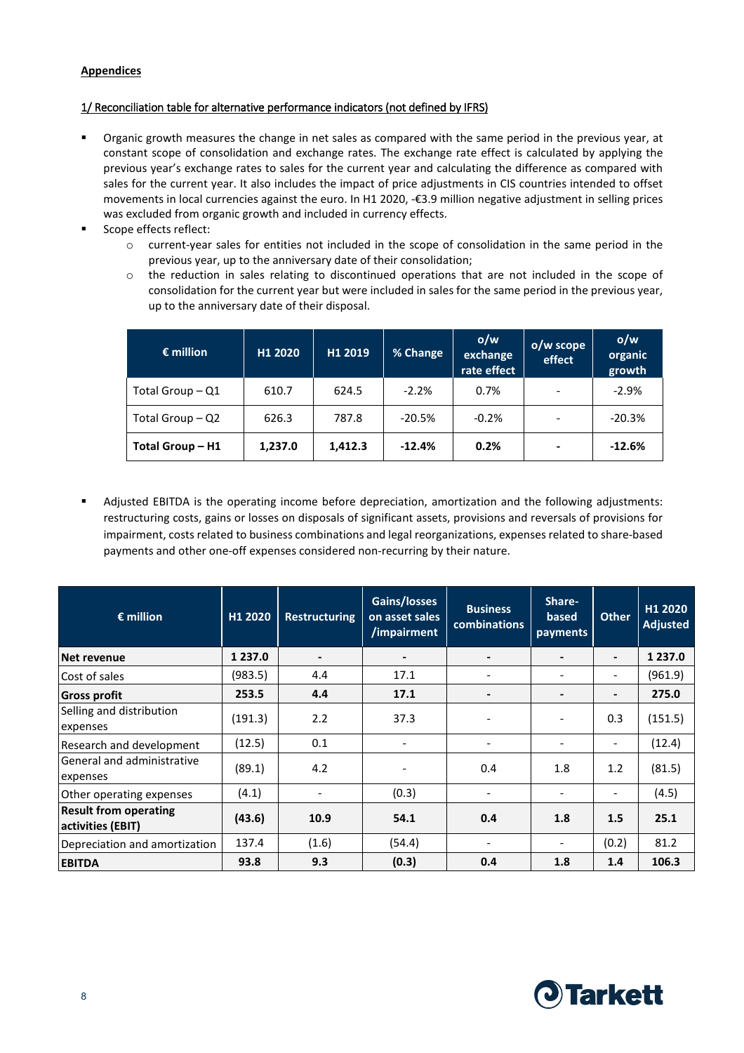# **Appendices**

# 1/ Reconciliation table for alternative performance indicators (not defined by IFRS)

- Organic growth measures the change in net sales as compared with the same period in the previous year, at constant scope of consolidation and exchange rates. The exchange rate effect is calculated by applying the previous year's exchange rates to sales for the current year and calculating the difference as compared with sales for the current year. It also includes the impact of price adjustments in CIS countries intended to offset movements in local currencies against the euro. In H1 2020, -€3.9 million negative adjustment in selling prices was excluded from organic growth and included in currency effects.
- Scope effects reflect:
	- o current-year sales for entities not included in the scope of consolidation in the same period in the previous year, up to the anniversary date of their consolidation;
	- o the reduction in sales relating to discontinued operations that are not included in the scope of consolidation for the current year but were included in sales for the same period in the previous year, up to the anniversary date of their disposal.

| $\epsilon$ million | H1 2020 | H1 2019 | % Change | o/w<br>exchange<br>rate effect | o/w scope<br>effect | o/w<br>organic<br>growth |
|--------------------|---------|---------|----------|--------------------------------|---------------------|--------------------------|
| Total Group - Q1   | 610.7   | 624.5   | $-2.2%$  | 0.7%                           |                     | $-2.9%$                  |
| Total Group - Q2   | 626.3   | 787.8   | $-20.5%$ | $-0.2%$                        |                     | $-20.3%$                 |
| Total Group - H1   | 1,237.0 | 1,412.3 | $-12.4%$ | 0.2%                           |                     | $-12.6%$                 |

 Adjusted EBITDA is the operating income before depreciation, amortization and the following adjustments: restructuring costs, gains or losses on disposals of significant assets, provisions and reversals of provisions for impairment, costs related to business combinations and legal reorganizations, expenses related to share-based payments and other one-off expenses considered non-recurring by their nature.

| $\epsilon$ million                                | H1 2020    | <b>Restructuring</b>     | Gains/losses<br>on asset sales<br>/impairment | <b>Business</b><br><b>combinations</b> | Share-<br>based<br>payments  | <b>Other</b>             | H1 2020<br><b>Adjusted</b> |
|---------------------------------------------------|------------|--------------------------|-----------------------------------------------|----------------------------------------|------------------------------|--------------------------|----------------------------|
| Net revenue                                       | 1 2 3 7 .0 | $\overline{\phantom{0}}$ |                                               | $\overline{\phantom{0}}$               |                              | $\blacksquare$           | 1 2 3 7 .0                 |
| Cost of sales                                     | (983.5)    | 4.4                      | 17.1                                          |                                        | $\qquad \qquad \blacksquare$ | $\overline{\phantom{a}}$ | (961.9)                    |
| <b>Gross profit</b>                               | 253.5      | 4.4                      | 17.1                                          | $\overline{\phantom{a}}$               | $\overline{\phantom{a}}$     | -                        | 275.0                      |
| Selling and distribution<br>expenses              | (191.3)    | 2.2                      | 37.3                                          |                                        | $\qquad \qquad \blacksquare$ | 0.3                      | (151.5)                    |
| Research and development                          | (12.5)     | 0.1                      |                                               | $\overline{\phantom{a}}$               | $\qquad \qquad \blacksquare$ | $\overline{\phantom{a}}$ | (12.4)                     |
| General and administrative<br>expenses            | (89.1)     | 4.2                      |                                               | 0.4                                    | 1.8                          | 1.2                      | (81.5)                     |
| Other operating expenses                          | (4.1)      |                          | (0.3)                                         |                                        | $\overline{\phantom{0}}$     | $\overline{\phantom{a}}$ | (4.5)                      |
| <b>Result from operating</b><br>activities (EBIT) | (43.6)     | 10.9                     | 54.1                                          | 0.4                                    | 1.8                          | 1.5                      | 25.1                       |
| Depreciation and amortization                     | 137.4      | (1.6)                    | (54.4)                                        | $\overline{\phantom{a}}$               | $\overline{\phantom{a}}$     | (0.2)                    | 81.2                       |
| <b>EBITDA</b>                                     | 93.8       | 9.3                      | (0.3)                                         | 0.4                                    | 1.8                          | 1.4                      | 106.3                      |

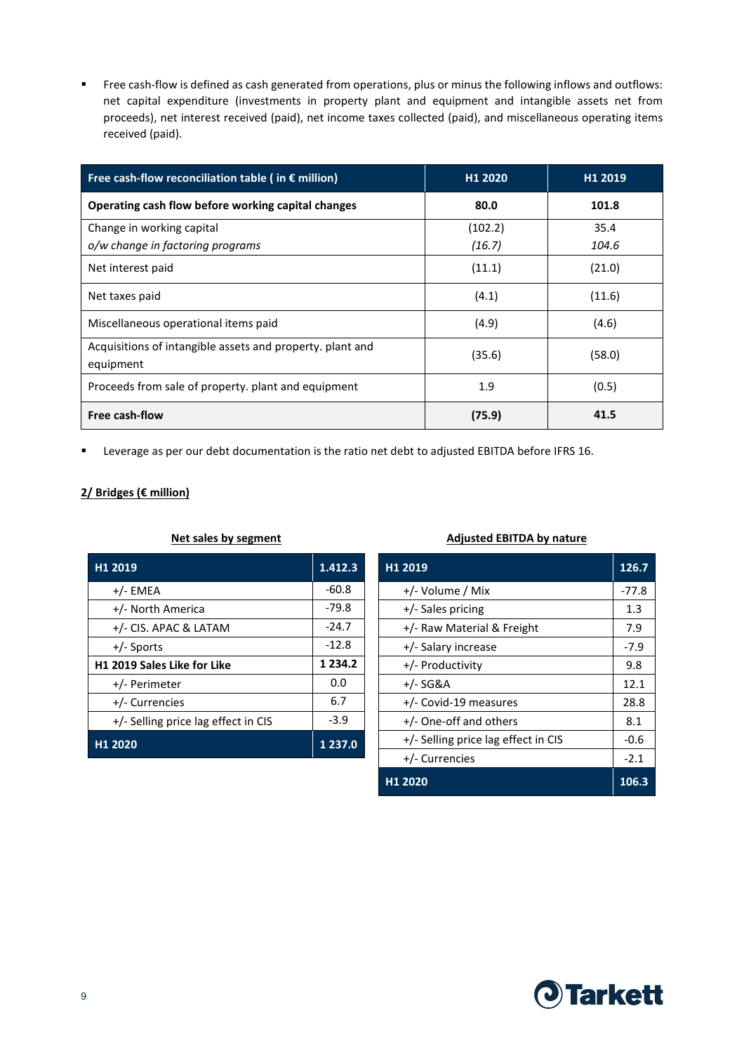Free cash-flow is defined as cash generated from operations, plus or minus the following inflows and outflows: net capital expenditure (investments in property plant and equipment and intangible assets net from proceeds), net interest received (paid), net income taxes collected (paid), and miscellaneous operating items received (paid).

| Free cash-flow reconciliation table (in $\epsilon$ million)            | H <sub>1</sub> 2020 | H <sub>1</sub> 2019 |
|------------------------------------------------------------------------|---------------------|---------------------|
| Operating cash flow before working capital changes                     | 80.0                | 101.8               |
| Change in working capital                                              | (102.2)             | 35.4                |
| o/w change in factoring programs                                       | (16.7)              | 104.6               |
| Net interest paid                                                      | (11.1)              | (21.0)              |
| Net taxes paid                                                         | (4.1)               | (11.6)              |
| Miscellaneous operational items paid                                   | (4.9)               | (4.6)               |
| Acquisitions of intangible assets and property. plant and<br>equipment | (35.6)              | (58.0)              |
| Proceeds from sale of property. plant and equipment                    | 1.9                 | (0.5)               |
| <b>Free cash-flow</b>                                                  | (75.9)              | 41.5                |

**EXECTED A Leverage as per our debt documentation is the ratio net debt to adjusted EBITDA before IFRS 16.** 

# **2/ Bridges (€ million)**

| H <sub>1</sub> 2019                 | 1.412.3     |
|-------------------------------------|-------------|
| $+/-$ EMEA                          | $-60.8$     |
| +/- North America                   | $-79.8$     |
| $+/-$ CIS. APAC & LATAM             | $-24.7$     |
| +/- Sports                          | $-12.8$     |
|                                     |             |
| H1 2019 Sales Like for Like         | 1 2 3 4 . 2 |
| +/- Perimeter                       | 0.0         |
| +/- Currencies                      | 6.7         |
| +/- Selling price lag effect in CIS | $-3.9$      |

#### **Net sales by segment Adjusted EBITDA by nature**

| H1 2019                             | 126.7   |
|-------------------------------------|---------|
| +/- Volume / Mix                    | $-77.8$ |
| +/- Sales pricing                   | 1.3     |
| +/- Raw Material & Freight          | 7.9     |
| +/- Salary increase                 | $-7.9$  |
| +/- Productivity                    | 9.8     |
| +/- SG&A                            | 12.1    |
| +/- Covid-19 measures               | 28.8    |
| +/- One-off and others              | 8.1     |
| +/- Selling price lag effect in CIS | -0.6    |
| +/- Currencies                      | $-2.1$  |
| H <sub>1</sub> 2020                 | 106.3   |